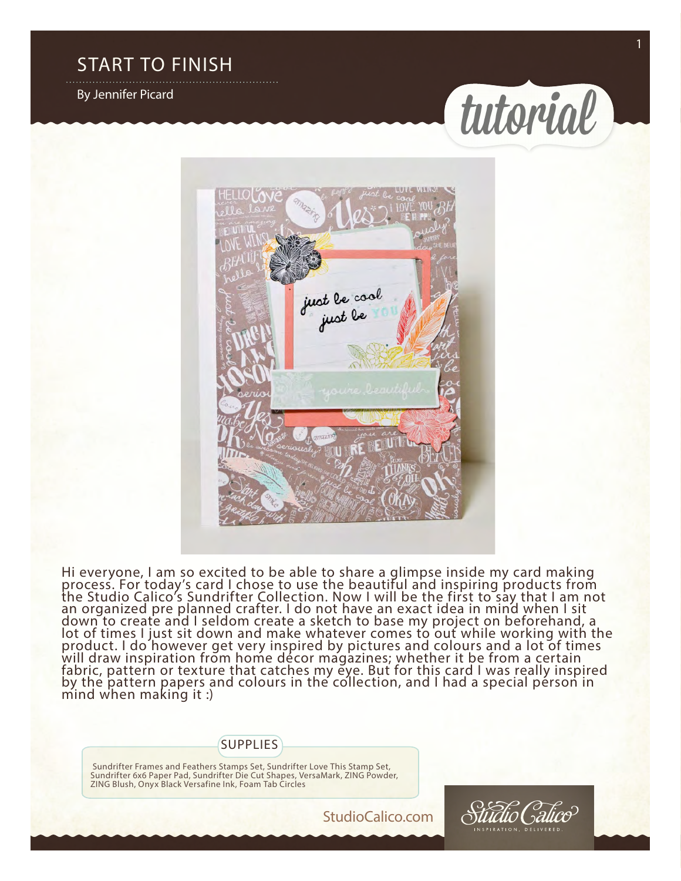#### START TO FINISH

By Jennifer Picard





Hi everyone, I am so excited to be able to share a glimpse inside my card making process. For today's card I chose to use the beautiful and inspiring products from the Studio Calico's Sundrifter Collection. Now I will be the first to say that I am not an organized pre planned crafter. I do not have an exact idea in mind when I sit down to create and I seldom create a sketch to base my project on beforehand, a lot of times I just sit down and make whatever comes to out while working with the product. I do however get very inspired by pictures and colours and a lot of times will draw inspiration from home décor magazines; whether it be from a certain fabric, pattern or texture that catches my eye. But for this card I was really inspired by the pattern papers and colours in the collection, and I had a special person in mind when making it :)

#### Supplies

 Sundrifter Frames and Feathers Stamps Set, Sundrifter Love This Stamp Set, Sundrifter 6x6 Paper Pad, Sundrifter Die Cut Shapes, VersaMark, ZING Powder, ZING Blush, Onyx Black Versafine Ink, Foam Tab Circles

StudioCalico.com

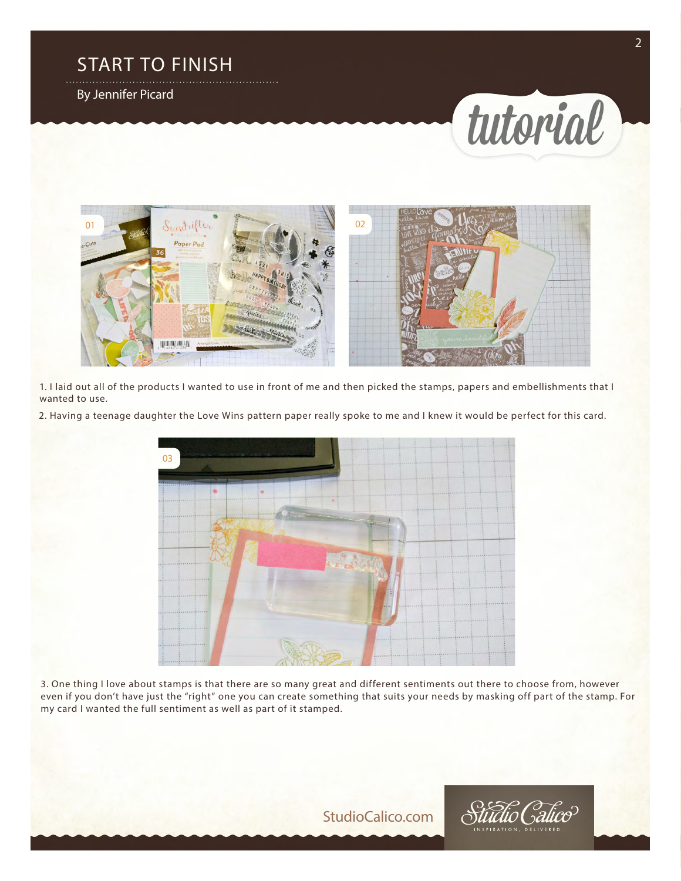## START TO FINISH

By Jennifer Picard





1. I laid out all of the products I wanted to use in front of me and then picked the stamps, papers and embellishments that I wanted to use.

2. Having a teenage daughter the Love Wins pattern paper really spoke to me and I knew it would be perfect for this card.



3. One thing I love about stamps is that there are so many great and different sentiments out there to choose from, however even if you don't have just the "right" one you can create something that suits your needs by masking off part of the stamp. For my card I wanted the full sentiment as well as part of it stamped.

StudioCalico.com

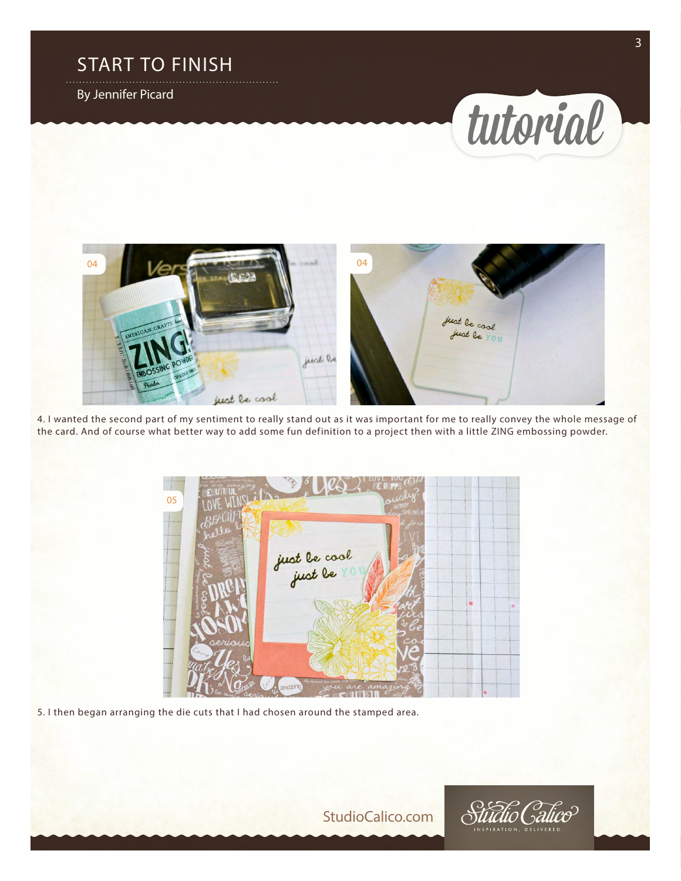### START TO FINISH

By Jennifer Picard





4. I wanted the second part of my sentiment to really stand out as it was important for me to really convey the whole message of the card. And of course what better way to add some fun definition to a project then with a little ZING embossing powder.

05just le cool<br>just le vazin

5. I then began arranging the die cuts that I had chosen around the stamped area.

StudioCalico.com